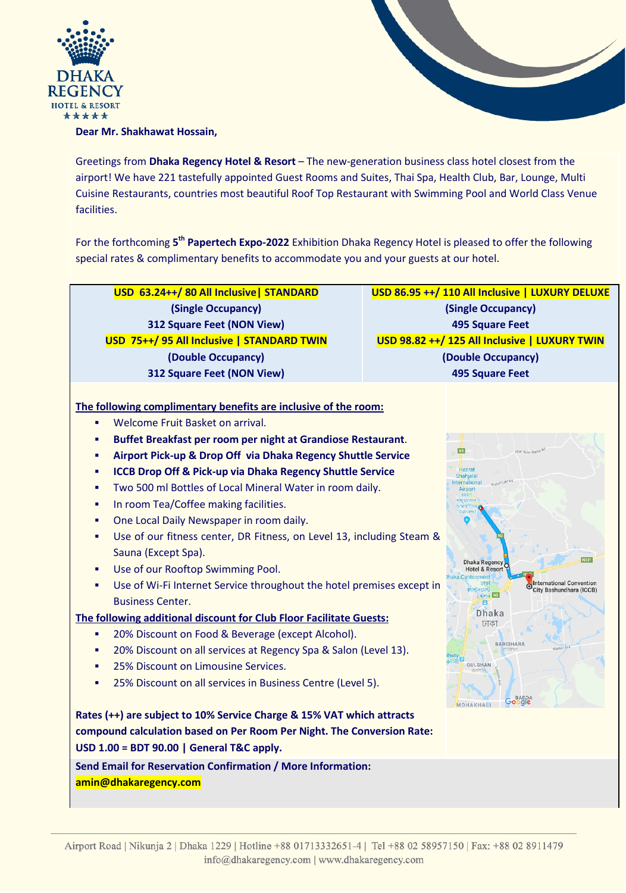



## **Dear Mr. Shakhawat Hossain,**

Greetings from **Dhaka Regency Hotel & Resort** – The new-generation business class hotel closest from the airport! We have 221 tastefully appointed Guest Rooms and Suites, Thai Spa, Health Club, Bar, Lounge, Multi Cuisine Restaurants, countries most beautiful Roof Top Restaurant with Swimming Pool and World Class Venue facilities.

For the forthcoming **5th Papertech Expo-2022** Exhibition Dhaka Regency Hotel is pleased to offer the following special rates & complimentary benefits to accommodate you and your guests at our hotel.

| USD 63.24++/80 All Inclusive   STANDARD                                                                                                                                                                                                                                                                                                                                                                                                                                                                                                                                                                                                                                                                                                                                                                                                                                                                                                                                                                                                                                                                                                                                                                                                                                         | USD 86.95 ++/ 110 All Inclusive   LUXURY DELUXE                                                                                                                                                                                                                                                                                                                                                                                                                    |
|---------------------------------------------------------------------------------------------------------------------------------------------------------------------------------------------------------------------------------------------------------------------------------------------------------------------------------------------------------------------------------------------------------------------------------------------------------------------------------------------------------------------------------------------------------------------------------------------------------------------------------------------------------------------------------------------------------------------------------------------------------------------------------------------------------------------------------------------------------------------------------------------------------------------------------------------------------------------------------------------------------------------------------------------------------------------------------------------------------------------------------------------------------------------------------------------------------------------------------------------------------------------------------|--------------------------------------------------------------------------------------------------------------------------------------------------------------------------------------------------------------------------------------------------------------------------------------------------------------------------------------------------------------------------------------------------------------------------------------------------------------------|
| (Single Occupancy)                                                                                                                                                                                                                                                                                                                                                                                                                                                                                                                                                                                                                                                                                                                                                                                                                                                                                                                                                                                                                                                                                                                                                                                                                                                              | (Single Occupancy)                                                                                                                                                                                                                                                                                                                                                                                                                                                 |
| <b>312 Square Feet (NON View)</b>                                                                                                                                                                                                                                                                                                                                                                                                                                                                                                                                                                                                                                                                                                                                                                                                                                                                                                                                                                                                                                                                                                                                                                                                                                               | <b>495 Square Feet</b>                                                                                                                                                                                                                                                                                                                                                                                                                                             |
| USD 75++/95 All Inclusive   STANDARD TWIN                                                                                                                                                                                                                                                                                                                                                                                                                                                                                                                                                                                                                                                                                                                                                                                                                                                                                                                                                                                                                                                                                                                                                                                                                                       | USD 98.82 ++/ 125 All Inclusive   LUXURY TWIN                                                                                                                                                                                                                                                                                                                                                                                                                      |
| (Double Occupancy)                                                                                                                                                                                                                                                                                                                                                                                                                                                                                                                                                                                                                                                                                                                                                                                                                                                                                                                                                                                                                                                                                                                                                                                                                                                              | (Double Occupancy)                                                                                                                                                                                                                                                                                                                                                                                                                                                 |
| 312 Square Feet (NON View)                                                                                                                                                                                                                                                                                                                                                                                                                                                                                                                                                                                                                                                                                                                                                                                                                                                                                                                                                                                                                                                                                                                                                                                                                                                      | <b>495 Square Feet</b>                                                                                                                                                                                                                                                                                                                                                                                                                                             |
| The following complimentary benefits are inclusive of the room:<br>Welcome Fruit Basket on arrival.<br>٠<br>Buffet Breakfast per room per night at Grandiose Restaurant.<br>٠<br>Airport Pick-up & Drop Off via Dhaka Regency Shuttle Service<br>٠<br><b>ICCB Drop Off &amp; Pick-up via Dhaka Regency Shuttle Service</b><br>٠<br>Two 500 ml Bottles of Local Mineral Water in room daily.<br>٠<br>In room Tea/Coffee making facilities.<br>٠<br>One Local Daily Newspaper in room daily.<br>٠<br>Use of our fitness center, DR Fitness, on Level 13, including Steam &<br>٠<br>Sauna (Except Spa).<br>Use of our Rooftop Swimming Pool.<br>٠<br>Use of Wi-Fi Internet Service throughout the hotel premises except in<br>٠<br><b>Business Center.</b><br>The following additional discount for Club Floor Facilitate Guests:<br>20% Discount on Food & Beverage (except Alcohol).<br>٠<br>20% Discount on all services at Regency Spa & Salon (Level 13).<br>٠<br>25% Discount on Limousine Services.<br>٠<br>25% Discount on all services in Business Centre (Level 5).<br>٠<br>Rates (++) are subject to 10% Service Charge & 15% VAT which attracts<br>compound calculation based on Per Room Per Night. The Conversion Rate:<br>USD 1.00 = BDT 90.00   General T&C apply. | N3<br>Shah Kabir Mazar Rd<br>Hazrat<br>Shahialal<br>Shahid Latif Rd<br>International<br>Airport<br>হয়রত<br><b>*To Gitartat</b><br>a fragille<br>বিমানক<br>N301<br>Dhaka Regency O<br><b>Hotel &amp; Resort</b><br>haka Cantonment<br><b>International Convention</b><br>ঢাকা<br>City Bashundhara (ICCB)<br>काकनदमन्द<br><b>CUMER N3</b><br>圓<br><b>Dhaka</b><br>ঢাকা<br><b>BARIDHARA</b><br>lway<br>$\frac{1}{2}$<br><b>GULSHAN</b><br>Google<br><b>MOHAKHALI</b> |
| Send Email for Reservation Confirmation / More Information:<br>amin@dhakaregency.com                                                                                                                                                                                                                                                                                                                                                                                                                                                                                                                                                                                                                                                                                                                                                                                                                                                                                                                                                                                                                                                                                                                                                                                            |                                                                                                                                                                                                                                                                                                                                                                                                                                                                    |